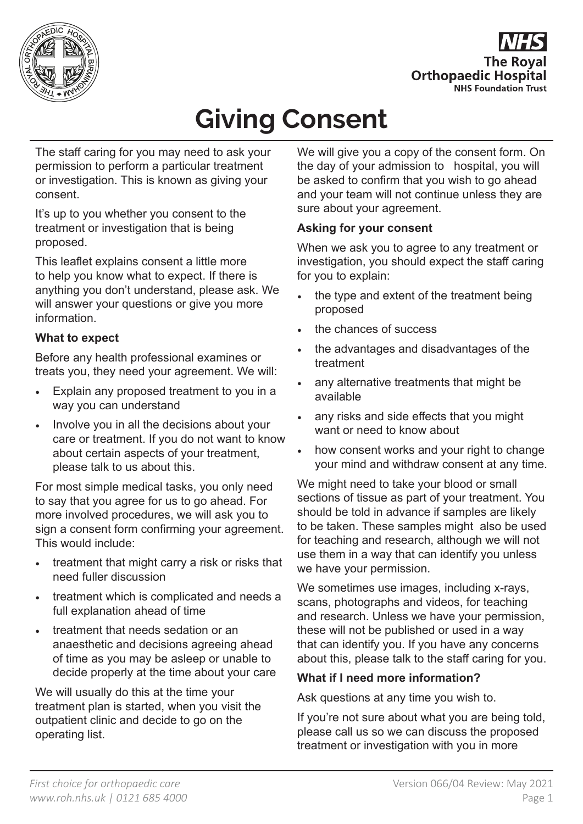

**The Roval Orthopaedic Hospital NHS Foundation Trust** 

# **Giving Consent**

The staff caring for you may need to ask your permission to perform a particular treatment or investigation. This is known as giving your consent.

It's up to you whether you consent to the treatment or investigation that is being proposed.

This leaflet explains consent a little more to help you know what to expect. If there is anything you don't understand, please ask. We will answer your questions or give you more information.

### **What to expect**

Before any health professional examines or treats you, they need your agreement. We will:

- Explain any proposed treatment to you in a way you can understand
- Involve you in all the decisions about your care or treatment. If you do not want to know about certain aspects of your treatment, please talk to us about this.

For most simple medical tasks, you only need to say that you agree for us to go ahead. For more involved procedures, we will ask you to sign a consent form confirming your agreement. This would include:

- treatment that might carry a risk or risks that need fuller discussion
- treatment which is complicated and needs a full explanation ahead of time
- treatment that needs sedation or an anaesthetic and decisions agreeing ahead of time as you may be asleep or unable to decide properly at the time about your care

We will usually do this at the time your treatment plan is started, when you visit the outpatient clinic and decide to go on the operating list.

We will give you a copy of the consent form. On the day of your admission to hospital, you will be asked to confirm that you wish to go ahead and your team will not continue unless they are sure about your agreement.

#### **Asking for your consent**

When we ask you to agree to any treatment or investigation, you should expect the staff caring for you to explain:

- the type and extent of the treatment being proposed
- the chances of success
- the advantages and disadvantages of the treatment
- any alternative treatments that might be available
- any risks and side effects that you might want or need to know about
- how consent works and your right to change your mind and withdraw consent at any time.

We might need to take your blood or small sections of tissue as part of your treatment. You should be told in advance if samples are likely to be taken. These samples might also be used for teaching and research, although we will not use them in a way that can identify you unless we have your permission.

We sometimes use images, including x-rays, scans, photographs and videos, for teaching and research. Unless we have your permission, these will not be published or used in a way that can identify you. If you have any concerns about this, please talk to the staff caring for you.

## **What if I need more information?**

Ask questions at any time you wish to.

If you're not sure about what you are being told, please call us so we can discuss the proposed treatment or investigation with you in more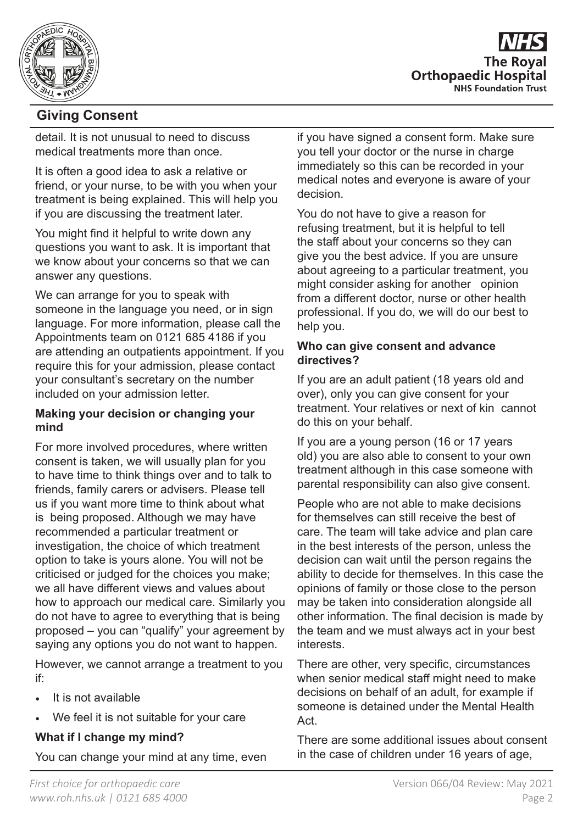



## **Giving Consent**

detail. It is not unusual to need to discuss medical treatments more than once.

It is often a good idea to ask a relative or friend, or your nurse, to be with you when your treatment is being explained. This will help you if you are discussing the treatment later.

You might find it helpful to write down any questions you want to ask. It is important that we know about your concerns so that we can answer any questions.

We can arrange for you to speak with someone in the language you need, or in sign language. For more information, please call the Appointments team on 0121 685 4186 if you are attending an outpatients appointment. If you require this for your admission, please contact your consultant's secretary on the number included on your admission letter.

#### **Making your decision or changing your mind**

For more involved procedures, where written consent is taken, we will usually plan for you to have time to think things over and to talk to friends, family carers or advisers. Please tell us if you want more time to think about what is being proposed. Although we may have recommended a particular treatment or investigation, the choice of which treatment option to take is yours alone. You will not be criticised or judged for the choices you make; we all have different views and values about how to approach our medical care. Similarly you do not have to agree to everything that is being proposed – you can "qualify" your agreement by saying any options you do not want to happen.

However, we cannot arrange a treatment to you if:

- It is not available
- We feel it is not suitable for your care

#### **What if I change my mind?**

You can change your mind at any time, even

if you have signed a consent form. Make sure you tell your doctor or the nurse in charge immediately so this can be recorded in your medical notes and everyone is aware of your decision.

You do not have to give a reason for refusing treatment, but it is helpful to tell the staff about your concerns so they can give you the best advice. If you are unsure about agreeing to a particular treatment, you might consider asking for another opinion from a different doctor, nurse or other health professional. If you do, we will do our best to help you.

#### **Who can give consent and advance directives?**

If you are an adult patient (18 years old and over), only you can give consent for your treatment. Your relatives or next of kin cannot do this on your behalf.

If you are a young person (16 or 17 years old) you are also able to consent to your own treatment although in this case someone with parental responsibility can also give consent.

People who are not able to make decisions for themselves can still receive the best of care. The team will take advice and plan care in the best interests of the person, unless the decision can wait until the person regains the ability to decide for themselves. In this case the opinions of family or those close to the person may be taken into consideration alongside all other information. The final decision is made by the team and we must always act in your best interests.

There are other, very specific, circumstances when senior medical staff might need to make decisions on behalf of an adult, for example if someone is detained under the Mental Health Act.

There are some additional issues about consent in the case of children under 16 years of age,